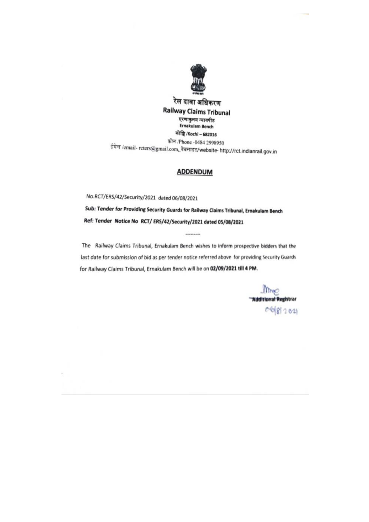

## **ADDENDUM**

No.RCT/ERS/42/Security/2021 dated 06/08/2021 Sub: Tender for Providing Security Guards for Railway Claims Tribunal, Ernakulam Bench Ref: Tender Notice No RCT/ERS/42/Security/2021 dated 05/08/2021

The Railway Claims Tribunal, Ernakulam Bench wishes to inform prospective bidders that the last date for submission of bid as per tender notice referred above for providing Security Guards for Railway Claims Tribunal, Ernakulam Bench will be on 02/09/2021 till 4 PM.

.........

 $Ime$ "Additional Registrar  $06812021$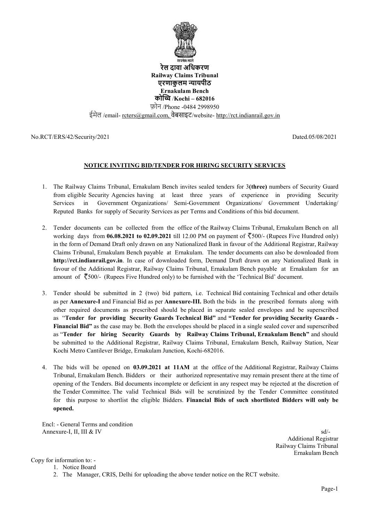

रेल दावा अिधकरण Railway Claims Tribunal एरणाकुलम न्यायपीठ Ernakulam Bench कोच्चि /Kochi – 682016 फ़ोन /Phone -0484 2998950

ईमेल /email- reters@gmail.com, वेबसाइट/website- http://rct.indianrail.gov.in

No.RCT/ERS/42/Security/2021

# NOTICE INVITING BID/TENDER FOR HIRING SECURITY SERVICES

- 1. The Railway Claims Tribunal, Ernakulam Bench invites sealed tenders for 3(three) numbers of Security Guard from eligible Security Agencies having at least three years of experience in providing Security Services in Government Organizations/ Semi Organizations/ Semi-Government Organizations/ Government Undertaking/ Services in Government Organizations/ Semi-Government Organizations/ Government Undertaking/<br>Reputed Banks for supply of Security Services as per Terms and Conditions of this bid document.<br>2. Tender documents can be collec
- Reputed Banks for supply of Security Services as per Terms and Conditions of this bid document.<br>Tender documents can be collected from the office of the Railway Claims Tribunal, Ernakular working days from  $06.08.2021$  to  $02.09.2021$  till 12.00 PM on payment of  $\leq 500/$ - (Rupees Five Hundred only) in the form of Demand Draft only drawn on any Nationalized Bank in favour of the Additional Registrar, Railway Claims Tribunal, Ernakulam Bench payable at Ernakulam. The tender documents can also be downloaded from http://rct.indianrail.gov.in. In case of downloaded form, Demand Draft drawn on any favour of the Additional Registrar, Railway Claims Tribunal, Ernakulam Bench amount of 500/- (Rupees Five Hundred only) to be furnished with the 'Technical Bid' document. of Demand Draft only drawn on any Nationalized Bank in favour of the Additional Registrar, Railway<br>uunal, Ernakulam Bench payable at Ernakulam. The tender documents can also be downloaded from<br>dianrail.gov.in. In case of d any Nationalized Bank in
- amount of  $\sqrt{500}$ /- (Rupees Five Hundred only) to be furnished with the 'Technical Bid' document.<br>3. Tender should be submitted in 2 (two) bid pattern, i.e. Technical Bid containing Technical and other details as per Annexure-I and Financial Bid as per Annexure-III. Both the bids in the prescribed formats along with other required documents as prescribed should be placed in separate sealed envelopes and be superscribed as "Tender for providing Security Guards Technical Bid" and "Tender for providing Security Guards -Financial Bid" as the case may be. Both the envelopes should be placed in a single sealed cover and superscribed as "Tender for hiring Security Guards by Railway Claims Tribunal, Ernakulam Bench" and should be submitted to the Additional Registrar, Railway Claims Tribunal, Ernakulam Bench, Railway Station, Near Kochi Metro Cantilever Bridge, Ernakulam Junction, Kochi-682016. Dated.05/08/2021<br>
UDated.05/08/2021<br>
UDated.05/08/2021<br>
UDATE BID/TENDER FOR HIRING SECURITY SERVICES<br>
Simular, Frankluhren Beneh invites, scaled tenders for 3(three) numbers of Security Guard<br>
tend (Degradizes)<br>
Simi-Gove
- 4. The bids will be opened on 03.09.2021 at 11AM at the office of the Additional Registrar, Railway Claims Tribunal, Ernakulam Bench. Bidders or their authorized representative may remain present there at the time of opening of the Tenders. Bid documents incomplete or deficient in any respect may be rejected at the discretion of the Tender Committee. The valid Technical Bids will be scrutinized by the Tender Committee constituted for this purpose to shortlist the eligible Bidders. Financial Bids of such shortlisted Bidders will only be opened. g of the Tenders. Bid documents incomplete or deficient in any respect may be rejected at the discretion of nder Committee. The valid Technical Bids will be scrutinized by the Tender Committee constituted is purpose to sho

Encl: - General Terms and condition Annexure-I, II, III & IV

 sd/- Additional Registrar Railway Claims Tribunal Ernakulam Bench

Copy for information to: -

- 1. Notice Board
- 2. The Manager, CRIS, Delhi for uploading the above tender notice on the RCT website.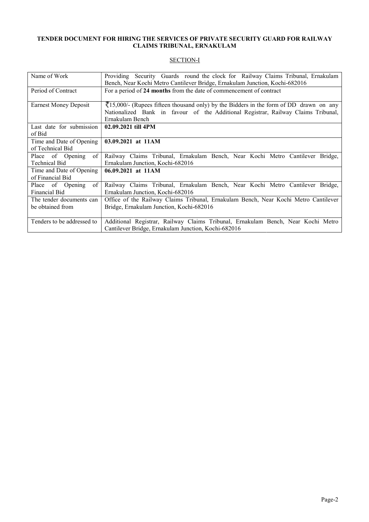#### TENDER DOCUMENT FOR HIRING THE SERVICES OF PRIVATE SECURITY GUARD FOR RAILWAY CLAIMS TRIBUNAL, ERNAKULAM FOR HIRING THE SERVICES OF PRIVATE SECURITY GUARD FOR RAILWAY CLAIMS TRIBUNAL, ERNAKULAM

# SECTION-I

| Name of Work                                 | Providing Security Guards round the clock for Railway Claims Tribunal, Ernakulam<br>Bench, Near Kochi Metro Cantilever Bridge, Ernakulam Junction, Kochi-682016                                        |  |  |  |
|----------------------------------------------|--------------------------------------------------------------------------------------------------------------------------------------------------------------------------------------------------------|--|--|--|
| Period of Contract                           | For a period of 24 months from the date of commencement of contract                                                                                                                                    |  |  |  |
| Earnest Money Deposit                        | $\sqrt{(15,000)}$ (Rupees fifteen thousand only) by the Bidders in the form of DD drawn on any<br>Nationalized Bank in favour of the Additional Registrar, Railway Claims Tribunal,<br>Ernakulam Bench |  |  |  |
| Last date for submission<br>of Bid           | 02.09.2021 till 4PM                                                                                                                                                                                    |  |  |  |
| Time and Date of Opening<br>of Technical Bid | 03.09.2021 at 11AM                                                                                                                                                                                     |  |  |  |
| of<br>Place of Opening<br>Technical Bid      | Railway Claims Tribunal, Ernakulam Bench, Near Kochi Metro Cantilever Bridge,<br>Ernakulam Junction, Kochi-682016                                                                                      |  |  |  |
| Time and Date of Opening<br>of Financial Bid | 06.09.2021 at 11AM                                                                                                                                                                                     |  |  |  |
| of<br>Place of Opening<br>Financial Bid      | Railway Claims Tribunal, Ernakulam Bench, Near Kochi Metro Cantilever Bridge,<br>Ernakulam Junction, Kochi-682016                                                                                      |  |  |  |
| The tender documents can<br>be obtained from | Office of the Railway Claims Tribunal, Ernakulam Bench, Near Kochi Metro Cantilever<br>Bridge, Ernakulam Junction, Kochi-682016                                                                        |  |  |  |
| Tenders to be addressed to                   | Additional Registrar, Railway Claims Tribunal, Ernakulam Bench, Near Kochi Metro<br>Cantilever Bridge, Ernakulam Junction, Kochi-682016                                                                |  |  |  |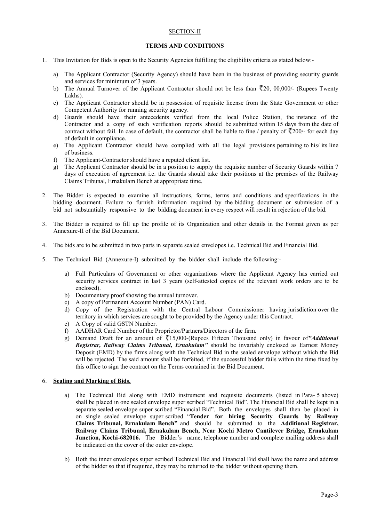#### SECTION-II

#### TERMS AND CONDITIONS

- 1. This Invitation for Bids is open to the Security Agencies fulfilling the eligibility criteria as stated below:
	- a) The Applicant Contractor (Security Agency) should have been in the business of providing security guards and services for minimum of 3 years. the Security Agencies fulfilling the eligibility criteria as stated below:-<br>ecurity Agency) should have been in the business of providing security guards<br>3 years.
	- b) The Annual Turnover of the Applicant Contractor should not be less than <20, 00,000/- (Rupees Twenty Lakhs).
	- c) The Applicant Contractor should be in possession of requisite license from the State Government or other Competent Authority for running security agency.
	- d) Guards should have their antecedents verified from the local Police Station, the instance of the Contractor and a copy of such verification reports should be submitted within 15 days from the date of The Applicant Contractor should be in possession of requisite license from the State Government or other<br>Competent Authority for running security agency.<br>Guards should have their antecedents verified from the local Police of default in compliance.
	- e) The Applicant Contractor should have complied with all the legal provisions pertaining to his/ its line of business. e) The Applicant Contractor should have complied with all the legal provisions pertaining to his/ its line of business.<br>f) The Applicant-Contractor should have a reputed client list.<br>g) The Applicant Contractor should be i
	- f) The Applicant-Contractor should have a reputed client list.
	- days of execution of agreement i.e. the Guards should take their positions at the premises of the Railway Claims Tribunal, Ernakulam Bench at appropriate time.
- 2. The Bidder is expected to examine all instructions, forms, terms and conditions and specifications in the bidding document. Failure to furnish information required by the bidding document or submission of a bid not substantially responsive to the bidding document in every respect will result in rejection of the bid. bid not substantially responsive to the bidding document in every respect will result in rejection of the bid. In to supply the requisite number of Security Guards w<br>i should take their positions at the premises of the R<br>e time.<br>Ins, forms, terms and conditions and specifications<br>in required by the bidding document or submission<br>cu
- 3. The Bidder is required to fill up the profile of its Organization and other details in the Format given as per Annexure-II of the Bid Document. 3. The Bidder is required to fill up the profile of its Organization and other details in the Format given<br>Annexure-II of the Bid Document.<br>4. The bids are to be submitted in two parts in separate sealed envelopes i.e. Tec
- 
- 5. The Technical Bid (Annexure-I) submitted by the bidder shall include the following:
	- a) Full Particulars of Government or other organizations where the Applicant Agency has carried out Full Particulars of Government or other organizations where the Applicant Agency has carried out<br>security services contract in last 3 years (self-attested copies of the relevant work orders are to be enclosed).
	- b) Documentary proof showing the annual turnover.
	- c) A copy of Permanent Account Number (PAN) Card.
	- d) Copy of the Registration with the Central Labour Commissioner having jurisdiction over the territory in which services are sought to be provided by the Agency under this Contract. security services contract in last 3 years (self-attested copies of the relevant work orders are to be enclosed).<br>
	b) Documentary proof showing the annual turnover.<br>
	c) A copy of Permanent Account Number (PAN) Card.<br>
	d) Co
	- e) A Copy of valid GSTN Number.
	- f) AADHAR Card Number of the Proprietor/Partners/Directors of the firm.
	- Registrar, Railway Claims Tribunal, Ernakulam" should be invariably enclosed as Earnest Money Deposit (EMD) by the firms along with the Technical Bid in the sealed envelope without which the Bid will be rejected. The said amount shall be forfeited, if the successful bidder fails within the time fixed by this office to sign the contract on the Terms contained in the Bid Document. will be rejected. The said amount shall be forfeited, if the successful bidder fails within the time fixed by<br>this office to sign the contract on the Terms contained in the Bid Document.<br>Bid and Marking of Bids.<br>a) The Tec

#### 6. Sealing and Marking of Bids.

- shall be placed in one sealed envelope super scribed "Technical Bid". The Financial Bid shall be kept in a separate sealed envelope super scribed "Financial Bid". Both the envelopes shall then be placed in on single sealed envelope super scribed "Tender for hiring Security Guards by Railway Claims Tribunal, Ernakulam Bench" and should be submitted to the Additional Registrar, Railway Claims Tribunal, Ernakulam Bench, Near Kochi Metro Cantilever Bridge, Ernakulam Junction, Kochi-682016. The Bidder's name, telephone number and complete mailing address shall be indicated on the cover of the outer envelope. the fit Bids top the two-diverses that the supervisor fulfilling the digitality criteria as stated below:<br>
The fit is the intermediate Cosmics of the supercy should have them in the histories of providing searchical<br>price
- b) Both the inner envelopes super scribed Technical Bid and Financial Bid shall have the name and address of the bidder so that if required, they may be returned to the bidder without opening them.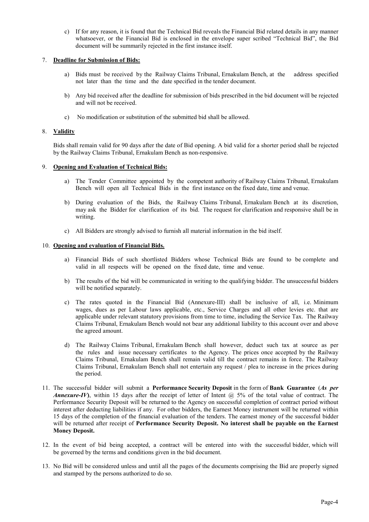c) If for any reason, it is found that the Technical Bid reveals the Financial Bid related details in any manner whatsoever, or the Financial Bid is enclosed in the envelope super scribed "Technical Bid", the Bid document will be summarily rejected in the first instance itself.

### 7. Deadline for Submission of Bids:

- a) Bids must be received by the Railway Claims Tribunal, Ernakulam Bench, at the address specified not later than the time and the date specified in the tender document.
- b) Any bid received after the deadline for submission of bids prescribed in the bid document will be rejected and will not be received.
- c) No modification or substitution of the submitted bid shall be allowed.

#### 8. Validity

Bids shall remain valid for 90 days after the date of Bid opening. A bid valid for a shorter period shall be rejected by the Railway Claims Tribunal, Ernakulam Bench as non-responsive.

### 9. Opening and Evaluation of Technical Bids:

- a) The Tender Committee appointed by the competent authority of Railway Claims Tribunal, Ernakulam Bench will open all Technical Bids in the first instance on the fixed date, time and venue.
- b) During evaluation of the Bids, the Railway Claims Tribunal, Ernakulam Bench at its discretion, may ask the Bidder for clarification of its bid. The request for clarification and responsive shall be in writing.
- c) All Bidders are strongly advised to furnish all material information in the bid itself.

### 10. Opening and evaluation of Financial Bids.

- a) Financial Bids of such shortlisted Bidders whose Technical Bids are found to be complete and valid in all respects will be opened on the fixed date, time and venue.
- b) The results of the bid will be communicated in writing to the qualifying bidder. The unsuccessful bidders will be notified separately.
- c) The rates quoted in the Financial Bid (Annexure-III) shall be inclusive of all, i.e. Minimum wages, dues as per Labour laws applicable, etc., Service Charges and all other levies etc. that are applicable under relevant statutory provisions from time to time, including the Service Tax. The Railway Claims Tribunal, Ernakulam Bench would not bear any additional liability to this account over and above the agreed amount.
- d) The Railway Claims Tribunal, Ernakulam Bench shall however, deduct such tax at source as per the rules and issue necessary certificates to the Agency. The prices once accepted by the Railway Claims Tribunal, Ernakulam Bench shall remain valid till the contract remains in force. The Railway Claims Tribunal, Ernakulam Bench shall not entertain any request / plea to increase in the prices during the period.
- 11. The successful bidder will submit a Performance Security Deposit in the form of Bank Guarantee (As per Annexure-IV), within 15 days after the receipt of letter of Intent  $\omega$  5% of the total value of contract. The Performance Security Deposit will be returned to the Agency on successful completion of contract period without interest after deducting liabilities if any. For other bidders, the Earnest Money instrument will be returned within 15 days of the completion of the financial evaluation of the tenders. The earnest money of the successful bidder will be returned after receipt of Performance Security Deposit. No interest shall be payable on the Earnest Money Deposit.
- 12. In the event of bid being accepted, a contract will be entered into with the successful bidder, which will be governed by the terms and conditions given in the bid document.
- 13. No Bid will be considered unless and until all the pages of the documents comprising the Bid are properly signed and stamped by the persons authorized to do so.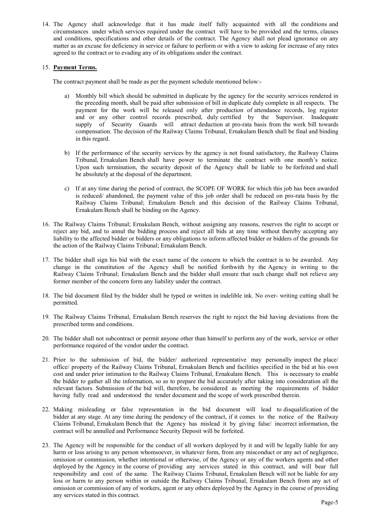14. The Agency shall acknowledge that it has made itself fully acquainted with all the conditions and circumstances under which services required under the contract will have to be provided and the terms, clauses and conditions, specifications and other details of the contract. The Agency shall not plead ignorance on any matter as an excuse for deficiency in service or failure to perform or with a view to asking for increase of any rates agreed to the contract or to evading any of its obligations under the contract.

### 15. Payment Terms.

The contract payment shall be made as per the payment schedule mentioned below:-

- a) Monthly bill which should be submitted in duplicate by the agency for the security services rendered in the preceding month, shall be paid after submission of bill in duplicate duly complete in all respects. The payment for the work will be released only after production of attendance records, log register and or any other control records prescribed, duly certified by the Supervisor. Inadequate supply of Security Guards will attract deduction at pro-rata basis from the work bill towards compensation. The decision of the Railway Claims Tribunal, Ernakulam Bench shall be final and binding in this regard.
- b) If the performance of the security services by the agency is not found satisfactory, the Railway Claims Tribunal, Ernakulam Bench shall have power to terminate the contract with one month's notice. Upon such termination, the security deposit of the Agency shall be liable to be forfeited and shall be absolutely at the disposal of the department.
- c) If at any time during the period of contract, the SCOPE OF WORK for which this job has been awarded is reduced/ abandoned, the payment value of this job order shall be reduced on pro-rata basis by the Railway Claims Tribunal; Ernakulam Bench and this decision of the Railway Claims Tribunal, Ernakulam Bench shall be binding on the Agency.
- 16. The Railway Claims Tribunal; Ernakulam Bench, without assigning any reasons, reserves the right to accept or reject any bid, and to annul the bidding process and reject all bids at any time without thereby accepting any liability to the affected bidder or bidders or any obligations to inform affected bidder or bidders of the grounds for the action of the Railway Claims Tribunal; Ernakulam Bench.
- 17. The bidder shall sign his bid with the exact name of the concern to which the contract is to be awarded. Any change in the constitution of the Agency shall be notified forthwith by the Agency in writing to the Railway Claims Tribunal; Ernakulam Bench and the bidder shall ensure that such change shall not relieve any former member of the concern form any liability under the contract.
- 18. The bid document filed by the bidder shall be typed or written in indelible ink. No over- writing cutting shall be permitted.
- 19. The Railway Claims Tribunal, Ernakulam Bench reserves the right to reject the bid having deviations from the prescribed terms and conditions.
- 20. The bidder shall not subcontract or permit anyone other than himself to perform any of the work, service or other performance required of the vendor under the contract.
- 21. Prior to the submission of bid, the bidder/ authorized representative may personally inspect the place/ office/ property of the Railway Claims Tribunal, Ernakulam Bench and facilities specified in the bid at his own cost and under prior intimation to the Railway Claims Tribunal, Ernakulam Bench. This is necessary to enable the bidder to gather all the information, so as to prepare the bid accurately after taking into consideration all the relevant factors. Submission of the bid will, therefore, be considered as meeting the requirements of bidder having fully read and understood the tender document and the scope of work prescribed therein.
- 22. Making misleading or false representation in the bid document will lead to disqualification of the bidder at any stage. At any time during the pendency of the contract, if it comes to the notice of the Railway Claims Tribunal, Ernakulam Bench that the Agency has mislead it by giving false/ incorrect information, the contract will be annulled and Performance Security Deposit will be forfeited.
- 23. The Agency will be responsible for the conduct of all workers deployed by it and will be legally liable for any harm or loss arising to any person whomsoever, in whatever form, from any misconduct or any act of negligence, omission or commission, whether intentional or otherwise, of the Agency or any of the workers agents and other deployed by the Agency in the course of providing any services stated in this contract, and will bear full responsibility and cost of the same. The Railway Claims Tribunal, Ernakulam Bench will not be liable for any loss or harm to any person within or outside the Railway Claims Tribunal, Ernakulam Bench from any act of omission or commission of any of workers, agent or any others deployed by the Agency in the course of providing any services stated in this contract.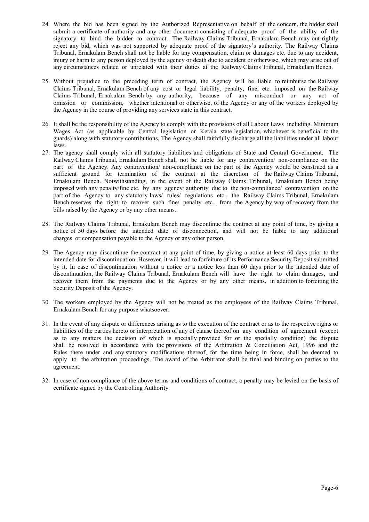- 24. Where the bid has been signed by the Authorized Representative on behalf of the concern, the bidder shall submit a certificate of authority and any other document consisting of adequate proof of the ability of the signatory to bind the bidder to contract. The Railway Claims Tribunal, Ernakulam Bench may out-rightly reject any bid, which was not supported by adequate proof of the signatory's authority. The Railway Claims Tribunal, Ernakulam Bench shall not be liable for any compensation, claim or damages etc. due to any accident, injury or harm to any person deployed by the agency or death due to accident or otherwise, which may arise out of any circumstances related or unrelated with their duties at the Railway Claims Tribunal, Ernakulam Bench.
- 25. Without prejudice to the preceding term of contract, the Agency will be liable to reimburse the Railway Claims Tribunal, Ernakulam Bench of any cost or legal liability, penalty, fine, etc. imposed on the Railway Claims Tribunal, Ernakulam Bench by any authority, because of any misconduct or any act of omission or commission, whether intentional or otherwise, of the Agency or any of the workers deployed by the Agency in the course of providing any services state in this contract.
- 26. It shall be the responsibility of the Agency to comply with the provisions of all Labour Laws including Minimum Wages Act (as applicable by Central legislation or Kerala state legislation, whichever is beneficial to the guards) along with statutory contributions. The Agency shall faithfully discharge all the liabilities under all labour laws.
- 27. The agency shall comply with all statutory liabilities and obligations of State and Central Government. The Railway Claims Tribunal, Ernakulam Bench shall not be liable for any contravention/ non-compliance on the part of the Agency. Any contravention/ non-compliance on the part of the Agency would be construed as a sufficient ground for termination of the contract at the discretion of the Railway Claims Tribunal, Ernakulam Bench. Notwithstanding, in the event of the Railway Claims Tribunal, Ernakulam Bench being imposed with any penalty/fine etc. by any agency/ authority due to the non-compliance/ contravention on the part of the Agency to any statutory laws/ rules/ regulations etc., the Railway Claims Tribunal, Ernakulam Bench reserves the right to recover such fine/ penalty etc., from the Agency by way of recovery from the bills raised by the Agency or by any other means.
- 28. The Railway Claims Tribunal, Ernakulam Bench may discontinue the contract at any point of time, by giving a notice of 30 days before the intended date of disconnection, and will not be liable to any additional charges or compensation payable to the Agency or any other person.
- 29. The Agency may discontinue the contract at any point of time, by giving a notice at least 60 days prior to the intended date for discontinuation. However, it will lead to forfeiture of its Performance Security Deposit submitted by it. In case of discontinuation without a notice or a notice less than 60 days prior to the intended date of discontinuation, the Railway Claims Tribunal, Ernakulam Bench will have the right to claim damages, and recover them from the payments due to the Agency or by any other means, in addition to forfeiting the Security Deposit of the Agency.
- 30. The workers employed by the Agency will not be treated as the employees of the Railway Claims Tribunal, Ernakulam Bench for any purpose whatsoever.
- 31. In the event of any dispute or differences arising as to the execution of the contract or as to the respective rights or liabilities of the parties hereto or interpretation of any of clause thereof on any condition of agreement (except as to any matters the decision of which is specially provided for or the specially condition) the dispute shall be resolved in accordance with the provisions of the Arbitration & Conciliation Act, 1996 and the Rules there under and any statutory modifications thereof, for the time being in force, shall be deemed to apply to the arbitration proceedings. The award of the Arbitrator shall be final and binding on parties to the agreement.
- 32. In case of non-compliance of the above terms and conditions of contract, a penalty may be levied on the basis of certificate signed by the Controlling Authority.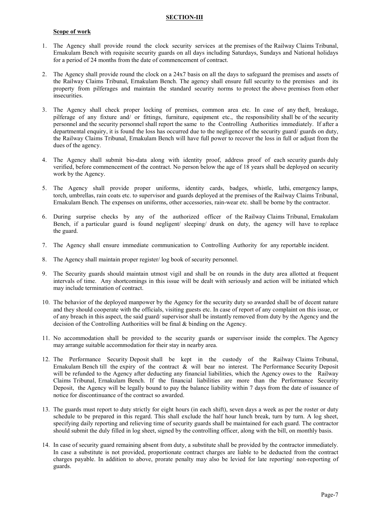### SECTION-III

#### Scope of work

- 1. The Agency shall provide round the clock security services at the premises of the Railway Claims Tribunal, Ernakulam Bench with requisite security guards on all days including Saturdays, Sundays and National holidays for a period of 24 months from the date of commencement of contract.
- 2. The Agency shall provide round the clock on a 24x7 basis on all the days to safeguard the premises and assets of the Railway Claims Tribunal, Ernakulam Bench. The agency shall ensure full security to the premises and its property from pilferages and maintain the standard security norms to protect the above premises from other insecurities.
- 3. The Agency shall check proper locking of premises, common area etc. In case of any theft, breakage, pilferage of any fixture and/ or fittings, furniture, equipment etc., the responsibility shall be of the security personnel and the security personnel shall report the same to the Controlling Authorities immediately. If after a departmental enquiry, it is found the loss has occurred due to the negligence of the security guard/ guards on duty, the Railway Claims Tribunal, Ernakulam Bench will have full power to recover the loss in full or adjust from the dues of the agency.
- 4. The Agency shall submit bio-data along with identity proof, address proof of each security guards duly verified, before commencement of the contract. No person below the age of 18 years shall be deployed on security work by the Agency.
- 5. The Agency shall provide proper uniforms, identity cards, badges, whistle, lathi, emergency lamps, torch, umbrellas, rain coats etc. to supervisor and guards deployed at the premises of the Railway Claims Tribunal, Ernakulam Bench. The expenses on uniforms, other accessories, rain-wear etc. shall be borne by the contractor.
- 6. During surprise checks by any of the authorized officer of the Railway Claims Tribunal, Ernakulam Bench, if a particular guard is found negligent/ sleeping/ drunk on duty, the agency will have to replace the guard.
- 7. The Agency shall ensure immediate communication to Controlling Authority for any reportable incident.
- 8. The Agency shall maintain proper register/ log book of security personnel.
- 9. The Security guards should maintain utmost vigil and shall be on rounds in the duty area allotted at frequent intervals of time. Any shortcomings in this issue will be dealt with seriously and action will be initiated which may include termination of contract.
- 10. The behavior of the deployed manpower by the Agency for the security duty so awarded shall be of decent nature and they should cooperate with the officials, visiting guests etc. In case of report of any complaint on this issue, or of any breach in this aspect, the said guard/ supervisor shall be instantly removed from duty by the Agency and the decision of the Controlling Authorities will be final & binding on the Agency.
- 11. No accommodation shall be provided to the security guards or supervisor inside the complex. The Agency may arrange suitable accommodation for their stay in nearby area.
- 12. The Performance Security Deposit shall be kept in the custody of the Railway Claims Tribunal, Ernakulam Bench till the expiry of the contract & will bear no interest. The Performance Security Deposit will be refunded to the Agency after deducting any financial liabilities, which the Agency owes to the Railway Claims Tribunal, Ernakulam Bench. If the financial liabilities are more than the Performance Security Deposit, the Agency will be legally bound to pay the balance liability within 7 days from the date of issuance of notice for discontinuance of the contract so awarded.
- 13. The guards must report to duty strictly for eight hours (in each shift), seven days a week as per the roster or duty schedule to be prepared in this regard. This shall exclude the half hour lunch break, turn by turn. A log sheet, specifying daily reporting and relieving time of security guards shall be maintained for each guard. The contractor should submit the duly filled in log sheet, signed by the controlling officer, along with the bill, on monthly basis.
- 14. In case of security guard remaining absent from duty, a substitute shall be provided by the contractor immediately. In case a substitute is not provided, proportionate contract charges are liable to be deducted from the contract charges payable. In addition to above, prorate penalty may also be levied for late reporting/ non-reporting of guards.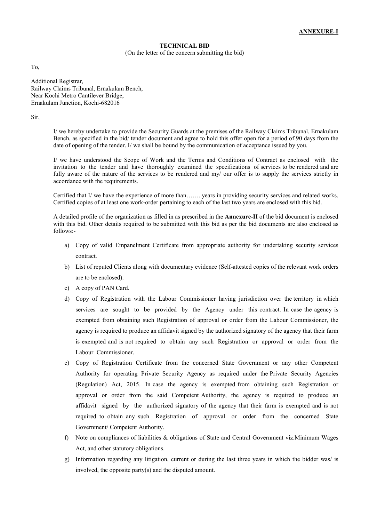### TECHNICAL BID

(On the letter of the concern submitting the bid)

To,

Additional Registrar, Railway Claims Tribunal, Ernakulam Bench, Near Kochi Metro Cantilever Bridge, Ernakulam Junction, Kochi-682016

Sir,

I/ we hereby undertake to provide the Security Guards at the premises of the Railway Claims Tribunal, Ernakulam Bench, as specified in the bid/ tender document and agree to hold this offer open for a period of 90 days from the date of opening of the tender. I/ we shall be bound by the communication of acceptance issued by you.

I/ we have understood the Scope of Work and the Terms and Conditions of Contract as enclosed with the invitation to the tender and have thoroughly examined the specifications of services to be rendered and are fully aware of the nature of the services to be rendered and my/ our offer is to supply the services strictly in accordance with the requirements.

Certified that I/ we have the experience of more than……..years in providing security services and related works. Certified copies of at least one work-order pertaining to each of the last two years are enclosed with this bid.

A detailed profile of the organization as filled in as prescribed in the Annexure-II of the bid document is enclosed with this bid. Other details required to be submitted with this bid as per the bid documents are also enclosed as follows:-

- a) Copy of valid Empanelment Certificate from appropriate authority for undertaking security services contract.
- b) List of reputed Clients along with documentary evidence (Self-attested copies of the relevant work orders are to be enclosed).
- c) A copy of PAN Card.
- d) Copy of Registration with the Labour Commissioner having jurisdiction over the territory in which services are sought to be provided by the Agency under this contract. In case the agency is exempted from obtaining such Registration of approval or order from the Labour Commissioner, the agency is required to produce an affidavit signed by the authorized signatory of the agency that their farm is exempted and is not required to obtain any such Registration or approval or order from the Labour Commissioner.
- e) Copy of Registration Certificate from the concerned State Government or any other Competent Authority for operating Private Security Agency as required under the Private Security Agencies (Regulation) Act, 2015. In case the agency is exempted from obtaining such Registration or approval or order from the said Competent Authority, the agency is required to produce an affidavit signed by the authorized signatory of the agency that their farm is exempted and is not required to obtain any such Registration of approval or order from the concerned State Government/ Competent Authority.
- f) Note on compliances of liabilities & obligations of State and Central Government viz.Minimum Wages Act, and other statutory obligations.
- g) Information regarding any litigation, current or during the last three years in which the bidder was/ is involved, the opposite party(s) and the disputed amount.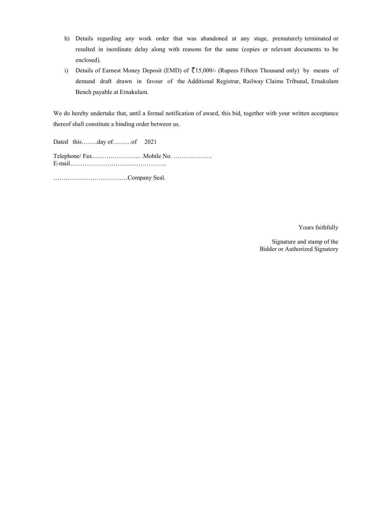- h) Details regarding any work order that was abandoned at any stage, prematurely terminated or resulted in inordinate delay along with reasons for the same (copies or relevant documents to be enclosed). i) Details regarding any work order that was abandoned at any stage, prematurely terminated or resulted in inordinate delay along with reasons for the same (copies or relevant documents to be enclosed).<br>i) Details of Earn
- demand draft drawn in favour of the Additional Registrar, Railway Claims Tribunal, Ernakulam Bench payable at Ernakulam.

We do hereby undertake that, until a formal notification of award, this bid, together with your written acceptance thereof shall constitute a binding order between us.

Dated this……..day of………of 2021

Telephone/ Fax……………………………. .Mobile No. ………………… E-mail……………………………………….. a binding order Dated this……..day mail………………………………………..Bidder or Authorized Signatory

………………………………Company Seal.

Yours faithfully

Signature and stamp of the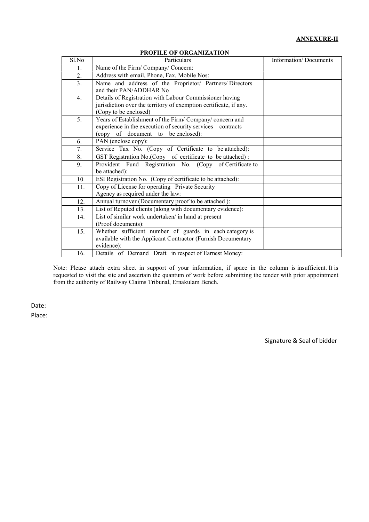# ANNEXURE-II

| Sl.No | Particulars                                                                                                                                                | Information/Documents |
|-------|------------------------------------------------------------------------------------------------------------------------------------------------------------|-----------------------|
| 1.    | Name of the Firm/Company/Concern:                                                                                                                          |                       |
| 2.    | Address with email, Phone, Fax, Mobile Nos:                                                                                                                |                       |
| 3.    | Name and address of the Proprietor/ Partners/Directors<br>and their PAN/ADDHAR No                                                                          |                       |
| 4.    | Details of Registration with Labour Commissioner having<br>jurisdiction over the territory of exemption certificate, if any.<br>(Copy to be enclosed)      |                       |
| 5.    | Years of Establishment of the Firm/Company/concern and<br>experience in the execution of security services contracts<br>(copy of document to be enclosed): |                       |
| 6.    | PAN (enclose copy):                                                                                                                                        |                       |
| 7.    | Service Tax No. (Copy of Certificate to be attached):                                                                                                      |                       |
| 8.    | GST Registration No.(Copy of certificate to be attached):                                                                                                  |                       |
| 9.    | Provident Fund Registration No. (Copy of Certificate to<br>be attached):                                                                                   |                       |
| 10.   | ESI Registration No. (Copy of certificate to be attached):                                                                                                 |                       |
| 11.   | Copy of License for operating Private Security<br>Agency as required under the law:                                                                        |                       |
| 12.   | Annual turnover (Documentary proof to be attached):                                                                                                        |                       |
| 13.   | List of Reputed clients (along with documentary evidence):                                                                                                 |                       |
| 14.   | List of similar work undertaken/ in hand at present<br>(Proof documents):                                                                                  |                       |
| 15.   | Whether sufficient number of guards in each category is<br>available with the Applicant Contractor (Furnish Documentary<br>evidence):                      |                       |
| 16.   | Details of Demand Draft in respect of Earnest Money:                                                                                                       |                       |

#### PROFILE OF ORGANIZATION

Note: Please attach extra sheet in support of your information, if space in the column is insufficient. It is requested to visit the site and ascertain the quantum of work before submitting the tender with prior appointment from the authority of Railway Claims Tribunal, Ernakulam Bench.

Date: Place:

Signature & Seal of bidder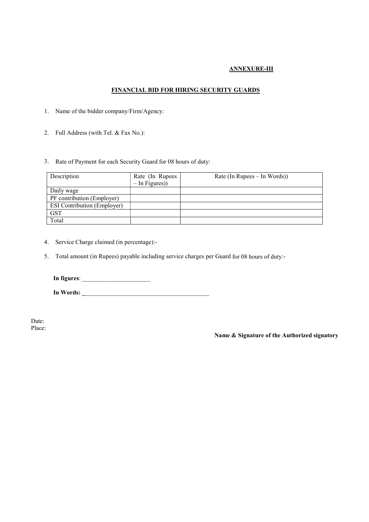# ANNEXURE-III

# FINANCIAL BID FOR HIRING SECURITY GUARDS

- 1. Name of the bidder company/Firm/Agency:
- 2. Full Address (with Tel. & Fax No.):
- 3. Rate of Payment for each Security Guard for 08 hours of duty:

| Description                        | Rate (In Rupees<br>$-$ In Figures)) | Rate (In Rupees – In Words)) |
|------------------------------------|-------------------------------------|------------------------------|
| Daily wage                         |                                     |                              |
| PF contribution (Employer)         |                                     |                              |
| <b>ESI Contribution (Employer)</b> |                                     |                              |
| <b>GST</b>                         |                                     |                              |
| Total                              |                                     |                              |

- 4. Service Charge claimed (in percentage):-
- 5. Total amount (in Rupees) payable including service charges per Guard for 08 hours of duty:-

In figures: \_\_\_\_\_\_\_\_\_\_\_\_\_\_\_\_\_\_\_\_\_\_

In Words: \_\_\_\_\_\_\_\_\_\_\_\_\_\_\_\_\_\_\_\_\_\_\_\_\_\_\_\_\_\_\_\_\_\_\_\_\_\_\_\_\_

Date: Place:

Name & Signature of the Authorized signatory